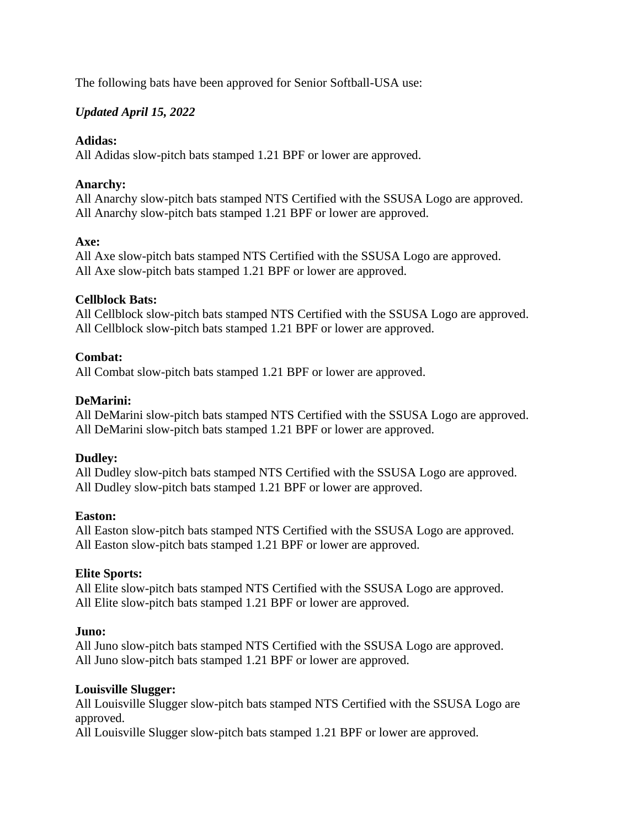The following bats have been approved for Senior Softball-USA use:

# *Updated April 15, 2022*

### **Adidas:**

All Adidas slow-pitch bats stamped 1.21 BPF or lower are approved.

## **Anarchy:**

All Anarchy slow-pitch bats stamped NTS Certified with the SSUSA Logo are approved. All Anarchy slow-pitch bats stamped 1.21 BPF or lower are approved.

### **Axe:**

All Axe slow-pitch bats stamped NTS Certified with the SSUSA Logo are approved. All Axe slow-pitch bats stamped 1.21 BPF or lower are approved.

### **Cellblock Bats:**

All Cellblock slow-pitch bats stamped NTS Certified with the SSUSA Logo are approved. All Cellblock slow-pitch bats stamped 1.21 BPF or lower are approved.

### **Combat:**

All Combat slow-pitch bats stamped 1.21 BPF or lower are approved.

### **DeMarini:**

All DeMarini slow-pitch bats stamped NTS Certified with the SSUSA Logo are approved. All DeMarini slow-pitch bats stamped 1.21 BPF or lower are approved.

#### **Dudley:**

All Dudley slow-pitch bats stamped NTS Certified with the SSUSA Logo are approved. All Dudley slow-pitch bats stamped 1.21 BPF or lower are approved.

#### **Easton:**

All Easton slow-pitch bats stamped NTS Certified with the SSUSA Logo are approved. All Easton slow-pitch bats stamped 1.21 BPF or lower are approved.

#### **Elite Sports:**

All Elite slow-pitch bats stamped NTS Certified with the SSUSA Logo are approved. All Elite slow-pitch bats stamped 1.21 BPF or lower are approved.

#### **Juno:**

All Juno slow-pitch bats stamped NTS Certified with the SSUSA Logo are approved. All Juno slow-pitch bats stamped 1.21 BPF or lower are approved.

#### **Louisville Slugger:**

All Louisville Slugger slow-pitch bats stamped NTS Certified with the SSUSA Logo are approved.

All Louisville Slugger slow-pitch bats stamped 1.21 BPF or lower are approved.